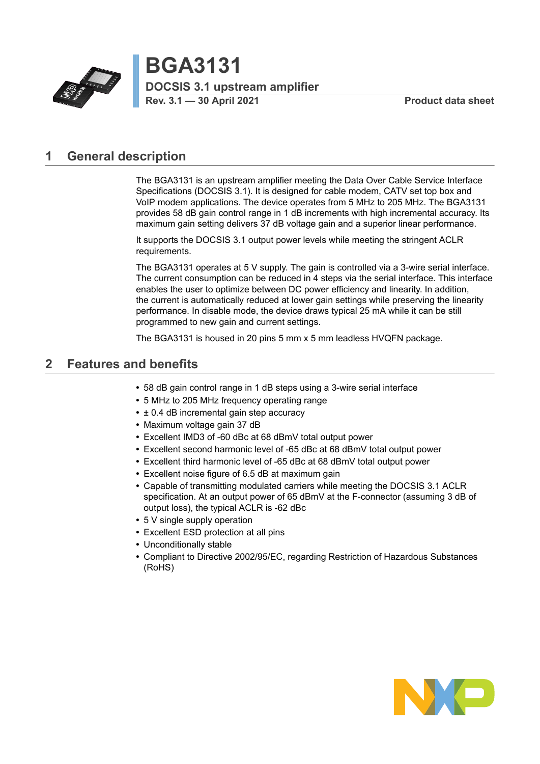

**BGA3131 Particle 7 DOCSIS 3.1 upstream amplifier**<br> **Rev.** 3.1 – 30 April 2021 **Product data sheet** 

# <span id="page-0-0"></span>**1 General description**

The BGA3131 is an upstream amplifier meeting the Data Over Cable Service Interface Specifications (DOCSIS 3.1). It is designed for cable modem, CATV set top box and VoIP modem applications. The device operates from 5 MHz to 205 MHz. The BGA3131 provides 58 dB gain control range in 1 dB increments with high incremental accuracy. Its maximum gain setting delivers 37 dB voltage gain and a superior linear performance.

It supports the DOCSIS 3.1 output power levels while meeting the stringent ACLR requirements.

The BGA3131 operates at 5 V supply. The gain is controlled via a 3-wire serial interface. The current consumption can be reduced in 4 steps via the serial interface. This interface enables the user to optimize between DC power efficiency and linearity. In addition, the current is automatically reduced at lower gain settings while preserving the linearity performance. In disable mode, the device draws typical 25 mA while it can be still programmed to new gain and current settings.

The BGA3131 is housed in 20 pins 5 mm x 5 mm leadless HVQFN package.

# <span id="page-0-1"></span>**2 Features and benefits**

- **•** 58 dB gain control range in 1 dB steps using a 3-wire serial interface
- **•** 5 MHz to 205 MHz frequency operating range
- **•** ± 0.4 dB incremental gain step accuracy
- **•** Maximum voltage gain 37 dB
- **•** Excellent IMD3 of -60 dBc at 68 dBmV total output power
- **•** Excellent second harmonic level of -65 dBc at 68 dBmV total output power
- **•** Excellent third harmonic level of -65 dBc at 68 dBmV total output power
- **•** Excellent noise figure of 6.5 dB at maximum gain
- **•** Capable of transmitting modulated carriers while meeting the DOCSIS 3.1 ACLR specification. At an output power of 65 dBmV at the F-connector (assuming 3 dB of output loss), the typical ACLR is -62 dBc
- **•** 5 V single supply operation
- **•** Excellent ESD protection at all pins
- **•** Unconditionally stable
- **•** Compliant to Directive 2002/95/EC, regarding Restriction of Hazardous Substances (RoHS)

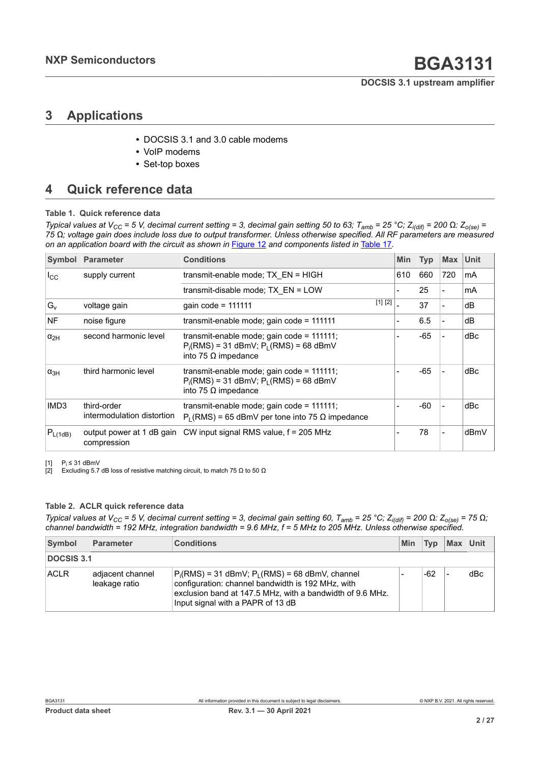# <span id="page-1-2"></span><span id="page-1-1"></span><span id="page-1-0"></span>**3 Applications**

- **•** DOCSIS 3.1 and 3.0 cable modems
- **•** VoIP modems
- **•** Set-top boxes

# <span id="page-1-3"></span>**4 Quick reference data**

### **Table 1. Quick reference data**

Typical values at V<sub>CC</sub> = 5 V, decimal current setting = 3, decimal gain setting 50 to 63; T<sub>amb</sub> = 25 °C; Z<sub>i(dif)</sub> = 200  $\Omega$ : Z<sub>o(se)</sub> = 75 Ω; voltage gain does include loss due to output transformer. Unless otherwise specified. All RF parameters are measured *on an application board with the circuit as shown in* [Figure 12](#page-14-0) *and components listed in* [Table](#page-15-0) 17*.*

| Symbol           | <b>Parameter</b>                          | <b>Conditions</b>                                                                                                     |         | <b>Min</b> | <b>Typ</b> | <b>Max</b> | Unit |
|------------------|-------------------------------------------|-----------------------------------------------------------------------------------------------------------------------|---------|------------|------------|------------|------|
| $I_{\rm CC}$     | supply current                            | transmit-enable mode; TX_EN = HIGH                                                                                    |         | 610        | 660        | 720        | mA   |
|                  |                                           | transmit-disable mode; TX EN = LOW                                                                                    |         |            | 25         |            | mA   |
| $G_v$            | voltage gain                              | gain code = $111111$                                                                                                  | [1] [2] |            | 37         |            | dB   |
| <b>NF</b>        | noise figure                              | transmit-enable mode; gain code = 111111                                                                              |         |            | 6.5        |            | dB   |
| $\alpha_{2H}$    | second harmonic level                     | transmit-enable mode; gain code = 111111;<br>$P_i(RMS) = 31$ dBmV; $P_L(RMS) = 68$ dBmV<br>into 75 $\Omega$ impedance |         |            | -65        |            | dBc  |
| $\alpha_{3H}$    | third harmonic level                      | transmit-enable mode; gain code = 111111;<br>$P_i(RMS) = 31$ dBmV; $P_i(RMS) = 68$ dBmV<br>into 75 $\Omega$ impedance |         |            | $-65$      |            | dBc  |
| IMD <sub>3</sub> | third-order<br>intermodulation distortion | transmit-enable mode; gain code = $111111$ ;<br>$P_1$ (RMS) = 65 dBmV per tone into 75 $\Omega$ impedance             |         |            | -60        |            | dBc  |
| $P_{L(1dB)}$     | output power at 1 dB gain<br>compression  | CW input signal RMS value, f = 205 MHz                                                                                |         |            | 78         |            | dBmV |

[1] P<sub>i</sub> ≤ 31 dBmV

[2] Excluding 5.7 dB loss of resistive matching circuit, to match 75  $\Omega$  to 50  $\Omega$ 

### **Table 2. ACLR quick reference data**

Typical values at V<sub>CC</sub> = 5 V, decimal current setting = 3, decimal gain setting 60, T<sub>amb</sub> = 25 °C; Z<sub>i(dif)</sub> = 200  $\Omega$ : Z<sub>o(se)</sub> = 75  $\Omega$ ; *channel bandwidth = 192 MHz, integration bandwidth = 9.6 MHz, f = 5 MHz to 205 MHz. Unless otherwise specified.*

| Symbol            | Parameter                         | <b>Conditions</b>                                                                                                                                                                                          | Min | Tvp | Max | Unit |
|-------------------|-----------------------------------|------------------------------------------------------------------------------------------------------------------------------------------------------------------------------------------------------------|-----|-----|-----|------|
| <b>DOCSIS 3.1</b> |                                   |                                                                                                                                                                                                            |     |     |     |      |
| <b>ACLR</b>       | adjacent channel<br>leakage ratio | $P_i(RMS) = 31$ dBmV; $P_i(RMS) = 68$ dBmV, channel<br>configuration: channel bandwidth is 192 MHz, with<br>exclusion band at 147.5 MHz, with a bandwidth of 9.6 MHz.<br>Input signal with a PAPR of 13 dB |     | -62 |     | dBc  |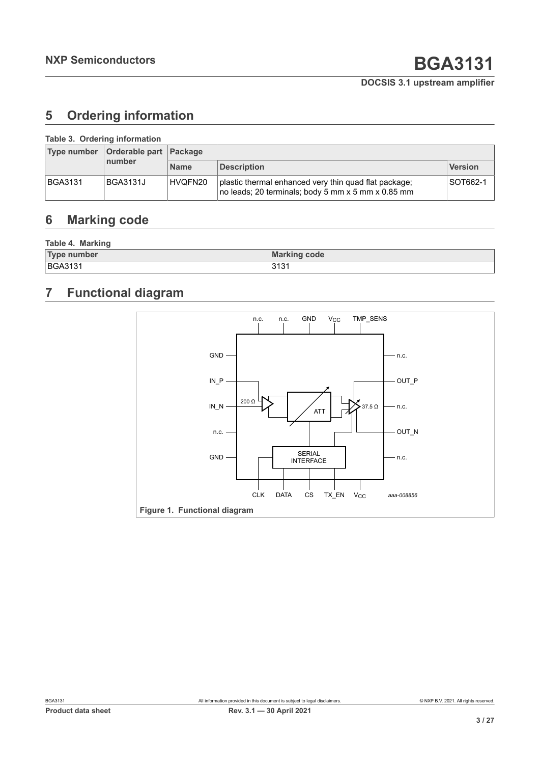# <span id="page-2-0"></span>**5 Ordering information**

| Table 3. Ordering information |                        |             |                                                                                                             |                |  |  |  |
|-------------------------------|------------------------|-------------|-------------------------------------------------------------------------------------------------------------|----------------|--|--|--|
| Type number                   | Orderable part Package |             |                                                                                                             |                |  |  |  |
|                               | number                 | <b>Name</b> | <b>Description</b>                                                                                          | <b>Version</b> |  |  |  |
| <b>BGA3131</b>                | <b>BGA3131J</b>        | HVQFN20     | plastic thermal enhanced very thin quad flat package;<br>no leads; 20 terminals; body 5 mm x 5 mm x 0.85 mm | SOT662-1       |  |  |  |

# <span id="page-2-1"></span>**6 Marking code**

| Table 4. Marking   |                     |  |  |  |  |  |
|--------------------|---------------------|--|--|--|--|--|
| <b>Type number</b> | <b>Marking code</b> |  |  |  |  |  |
| <b>BGA3131</b>     | 3131                |  |  |  |  |  |

# <span id="page-2-2"></span>**7 Functional diagram**

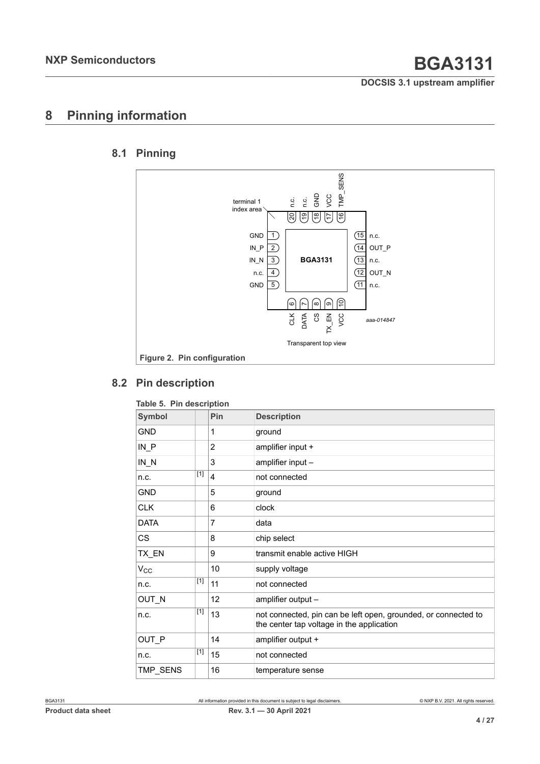# <span id="page-3-0"></span>**8 Pinning information**

## **8.1 Pinning**

<span id="page-3-1"></span>

## **8.2 Pin description**

| <b>Symbol</b> |       | Pin | <b>Description</b>                                                                                          |
|---------------|-------|-----|-------------------------------------------------------------------------------------------------------------|
| <b>GND</b>    |       | 1   | ground                                                                                                      |
| $IN$ $P$      |       | 2   | amplifier input +                                                                                           |
| $IN_N$        |       | 3   | amplifier input -                                                                                           |
| n.c.          | $[1]$ | 4   | not connected                                                                                               |
| <b>GND</b>    |       | 5   | ground                                                                                                      |
| <b>CLK</b>    |       | 6   | clock                                                                                                       |
| <b>DATA</b>   |       | 7   | data                                                                                                        |
| <b>CS</b>     |       | 8   | chip select                                                                                                 |
| TX_EN         |       | 9   | transmit enable active HIGH                                                                                 |
| $V_{\rm CC}$  |       | 10  | supply voltage                                                                                              |
| n.c.          | $[1]$ | 11  | not connected                                                                                               |
| OUT_N         |       | 12  | amplifier output -                                                                                          |
| n.c.          | $[1]$ | 13  | not connected, pin can be left open, grounded, or connected to<br>the center tap voltage in the application |
| OUT P         |       | 14  | amplifier output +                                                                                          |
| n.c.          | $[1]$ | 15  | not connected                                                                                               |
| TMP_SENS      |       | 16  | temperature sense                                                                                           |

<span id="page-3-2"></span>**Table 5. Pin description**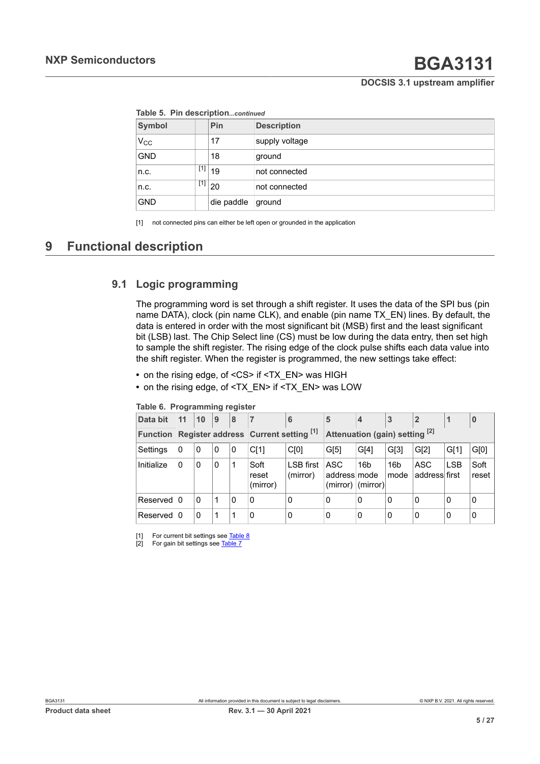<span id="page-4-0"></span>

| Table 5. Pin descriptioncontinued |  |  |
|-----------------------------------|--|--|
|                                   |  |  |

<span id="page-4-1"></span>

| $1.4441$ $1.411$ $1.499$ $1.491$ $1.491$ $1.411$ |     |                         |                    |  |  |  |
|--------------------------------------------------|-----|-------------------------|--------------------|--|--|--|
| Symbol                                           |     | Pin                     | <b>Description</b> |  |  |  |
| $ V_{CC} $                                       |     | 17                      | supply voltage     |  |  |  |
| <b>GND</b>                                       |     | 18                      | ground             |  |  |  |
| ∣n.c.                                            | [1] | 19                      | not connected      |  |  |  |
| n.c.                                             |     | $^{[1]}$ 20             | not connected      |  |  |  |
| <b>GND</b>                                       |     | <sup>∣</sup> die paddle | ground             |  |  |  |

[1] not connected pins can either be left open or grounded in the application

# <span id="page-4-2"></span>**9 Functional description**

## **9.1 Logic programming**

<span id="page-4-3"></span>The programming word is set through a shift register. It uses the data of the SPI bus (pin name DATA), clock (pin name CLK), and enable (pin name TX\_EN) lines. By default, the data is entered in order with the most significant bit (MSB) first and the least significant bit (LSB) last. The Chip Select line (CS) must be low during the data entry, then set high to sample the shift register. The rising edge of the clock pulse shifts each data value into the shift register. When the register is programmed, the new settings take effect:

- on the rising edge, of <CS> if <TX\_EN> was HIGH
- **•** on the rising edge, of <TX\_EN> if <TX\_EN> was LOW

| Data bit                                                | 11       | 10 | 9 | 8 | $\overline{7}$            | 6                              | 5                                          | $\overline{4}$  | 3                       | $\overline{2}$       |            | 0             |
|---------------------------------------------------------|----------|----|---|---|---------------------------|--------------------------------|--------------------------------------------|-----------------|-------------------------|----------------------|------------|---------------|
| Register address Current setting [1]<br><b>Function</b> |          |    |   |   |                           | Attenuation (gain) setting [2] |                                            |                 |                         |                      |            |               |
| Settings                                                | 0        | 0  | 0 | 0 | CI1                       | C[0]                           | G[5]                                       | G[4]            | G[3]                    | GI2]                 | GI1        | G[0]          |
| Initialize                                              | 0        | 0  | 0 | 1 | Soft<br>reset<br>(mirror) | <b>LSB</b> first<br>(mirror)   | ASC<br>address mode<br>$(mirror)$ (mirror) | 16 <sub>b</sub> | 16 <sub>b</sub><br>mode | ASC<br>address first | <b>LSB</b> | Soft<br>reset |
| Reserved                                                | l 0      | 0  | 1 | 0 | 0                         | 0                              | $\mathbf{0}$                               | 0               | 0                       | 0                    | 0          | 0             |
| Reserved                                                | $\Omega$ | 0  | 1 | 1 | 0                         | 0                              | $\mathbf{0}$                               | 0               | 0                       | 0                    | 0          | 0             |

**Table 6. Programming register**

[1] For current bit settings see [Table](#page-6-0) 8

[2] For gain bit settings see [Table](#page-6-1) 7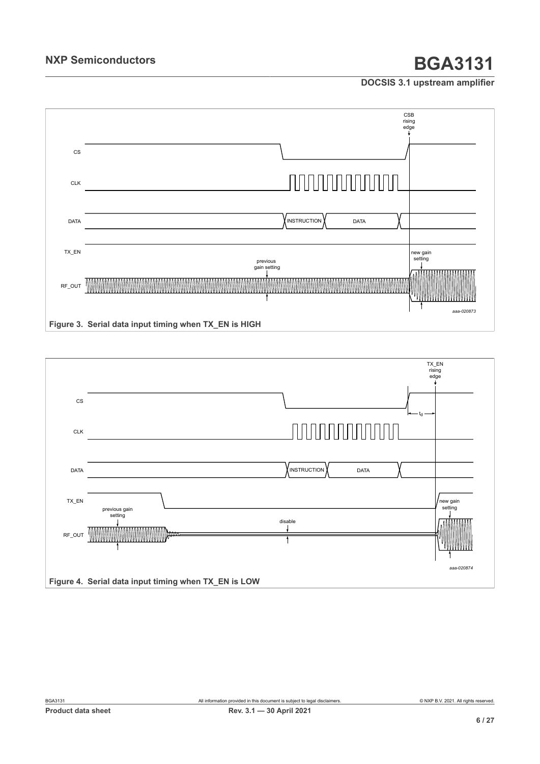

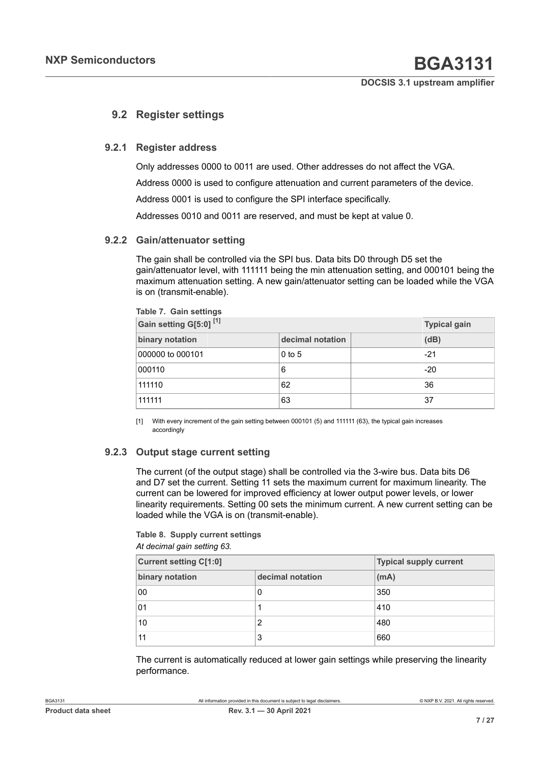## <span id="page-6-3"></span><span id="page-6-2"></span>**9.2 Register settings**

### **9.2.1 Register address**

<span id="page-6-4"></span>Only addresses 0000 to 0011 are used. Other addresses do not affect the VGA.

Address 0000 is used to configure attenuation and current parameters of the device.

Address 0001 is used to configure the SPI interface specifically.

<span id="page-6-5"></span>Addresses 0010 and 0011 are reserved, and must be kept at value 0.

### **9.2.2 Gain/attenuator setting**

<span id="page-6-1"></span>**Table 7. Gain settings**

The gain shall be controlled via the SPI bus. Data bits D0 through D5 set the gain/attenuator level, with 111111 being the min attenuation setting, and 000101 being the maximum attenuation setting. A new gain/attenuator setting can be loaded while the VGA is on (transmit-enable).

| Gain setting G[5:0] <sup>[1]</sup> | <b>Typical gain</b> |       |
|------------------------------------|---------------------|-------|
| binary notation                    | decimal notation    | (dB)  |
| 000000 to 000101                   | $0$ to 5            | $-21$ |
| 000110                             | 6                   | $-20$ |
| 111110                             | 62                  | 36    |
| 111111                             | 63                  | 37    |

[1] With every increment of the gain setting between 000101 (5) and 111111 (63), the typical gain increases accordingly

### **9.2.3 Output stage current setting**

<span id="page-6-6"></span>The current (of the output stage) shall be controlled via the 3-wire bus. Data bits D6 and D7 set the current. Setting 11 sets the maximum current for maximum linearity. The current can be lowered for improved efficiency at lower output power levels, or lower linearity requirements. Setting 00 sets the minimum current. A new current setting can be loaded while the VGA is on (transmit-enable).

#### <span id="page-6-0"></span>*At decimal gain setting 63.* **Table 8. Supply current settings**

| <b>Current setting C[1:0]</b> | <b>Typical supply current</b> |      |  |  |
|-------------------------------|-------------------------------|------|--|--|
| binary notation               | decimal notation              | (mA) |  |  |
| 00                            | 0                             | 350  |  |  |
| 01                            |                               | 410  |  |  |
| 10                            | 2                             | 480  |  |  |
| 11                            | 3                             | 660  |  |  |

The current is automatically reduced at lower gain settings while preserving the linearity performance.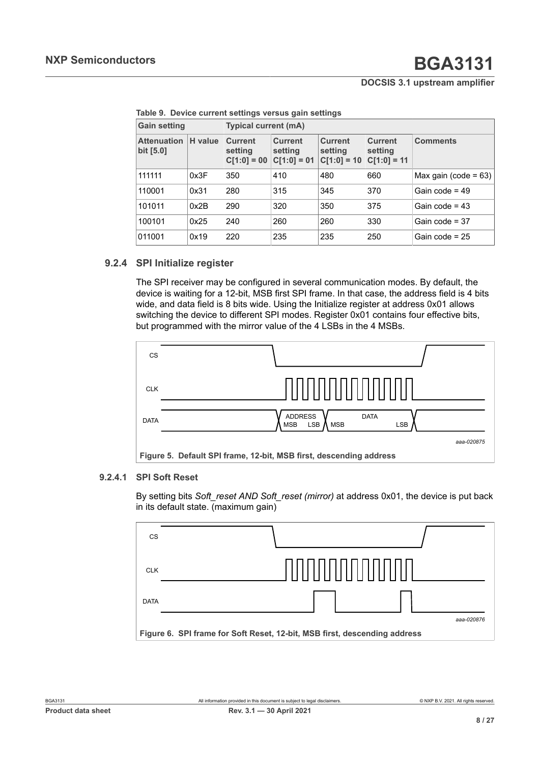| <b>Gain setting</b>             |         | <b>Typical current (mA)</b>                |                                            |                                            |                                            |                         |  |  |  |
|---------------------------------|---------|--------------------------------------------|--------------------------------------------|--------------------------------------------|--------------------------------------------|-------------------------|--|--|--|
| <b>Attenuation</b><br>bit [5.0] | H value | <b>Current</b><br>setting<br>$C[1:0] = 00$ | <b>Current</b><br>setting<br>$C[1:0] = 01$ | <b>Current</b><br>setting<br>$C[1:0] = 10$ | <b>Current</b><br>setting<br>$C[1:0] = 11$ | <b>Comments</b>         |  |  |  |
| 111111                          | 0x3F    | 350                                        | 410                                        | 480                                        | 660                                        | Max gain (code = $63$ ) |  |  |  |
| 110001                          | 0x31    | 280                                        | 315                                        | 345                                        | 370                                        | Gain code = $49$        |  |  |  |
| 101011                          | 0x2B    | 290                                        | 320                                        | 350                                        | 375                                        | Gain code = $43$        |  |  |  |
| 100101                          | 0x25    | 240                                        | 260                                        | 260                                        | 330                                        | Gain code = $37$        |  |  |  |
| 011001                          | 0x19    | 220                                        | 235                                        | 235                                        | 250                                        | Gain code = $25$        |  |  |  |

**Table 9. Device current settings versus gain settings**

### **9.2.4 SPI Initialize register**

<span id="page-7-0"></span>The SPI receiver may be configured in several communication modes. By default, the device is waiting for a 12-bit, MSB first SPI frame. In that case, the address field is 4 bits wide, and data field is 8 bits wide. Using the Initialize register at address 0x01 allows switching the device to different SPI modes. Register 0x01 contains four effective bits, but programmed with the mirror value of the 4 LSBs in the 4 MSBs.



#### **9.2.4.1 SPI Soft Reset**

<span id="page-7-1"></span>By setting bits *Soft\_reset AND Soft\_reset (mirror)* at address 0x01, the device is put back in its default state. (maximum gain)

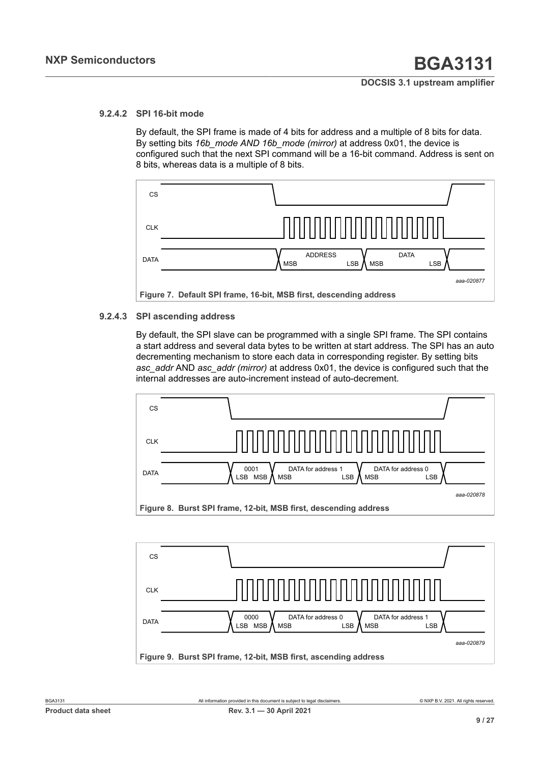## **9.2.4.2 SPI 16-bit mode**

<span id="page-8-0"></span>By default, the SPI frame is made of 4 bits for address and a multiple of 8 bits for data. By setting bits *16b\_mode AND 16b\_mode (mirror)* at address 0x01, the device is configured such that the next SPI command will be a 16-bit command. Address is sent on 8 bits, whereas data is a multiple of 8 bits.



#### **9.2.4.3 SPI ascending address**

<span id="page-8-1"></span>By default, the SPI slave can be programmed with a single SPI frame. The SPI contains a start address and several data bytes to be written at start address. The SPI has an auto decrementing mechanism to store each data in corresponding register. By setting bits *asc\_addr* AND *asc\_addr (mirror)* at address 0x01, the device is configured such that the internal addresses are auto-increment instead of auto-decrement.



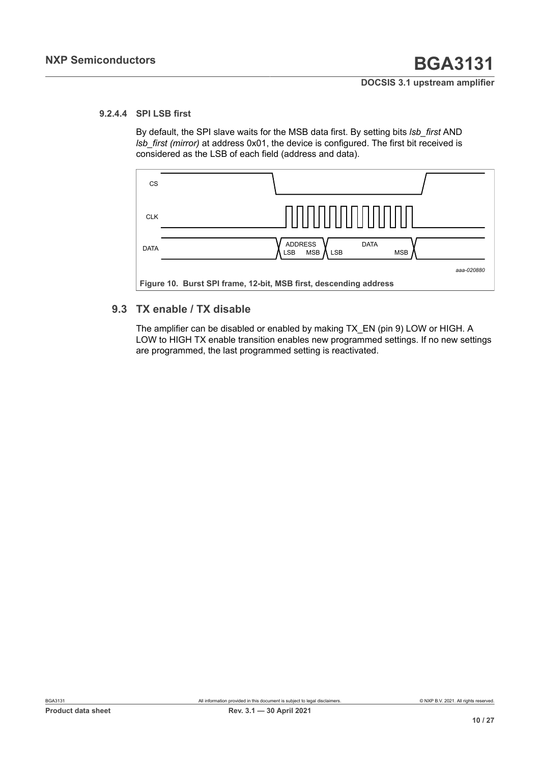### **9.2.4.4 SPI LSB first**

<span id="page-9-0"></span>By default, the SPI slave waits for the MSB data first. By setting bits *lsb\_first* AND *lsb\_first (mirror)* at address 0x01, the device is configured. The first bit received is considered as the LSB of each field (address and data).



## **9.3 TX enable / TX disable**

<span id="page-9-1"></span>The amplifier can be disabled or enabled by making TX EN (pin 9) LOW or HIGH. A LOW to HIGH TX enable transition enables new programmed settings. If no new settings are programmed, the last programmed setting is reactivated.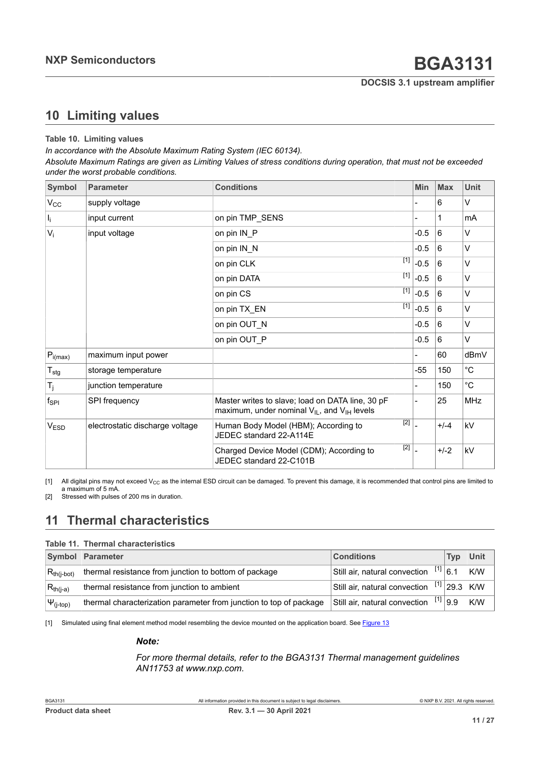# <span id="page-10-2"></span><span id="page-10-0"></span>**10 Limiting values**

#### <span id="page-10-1"></span>**Table 10. Limiting values**

*In accordance with the Absolute Maximum Rating System (IEC 60134).*

Absolute Maximum Ratings are given as Limiting Values of stress conditions during operation, that must not be exceeded *under the worst probable conditions.*

| Symbol                      | <b>Parameter</b>                | <b>Conditions</b>                                                                                         |       | Min    | <b>Max</b> | <b>Unit</b>       |
|-----------------------------|---------------------------------|-----------------------------------------------------------------------------------------------------------|-------|--------|------------|-------------------|
| $V_{\rm CC}$                | supply voltage                  |                                                                                                           |       |        | 6          | V                 |
| $I_i$                       | input current                   | on pin TMP SENS                                                                                           |       |        | 1          | mA                |
| $V_i$                       | input voltage                   | on pin IN_P                                                                                               |       | $-0.5$ | 6          | V                 |
|                             |                                 | on pin IN_N                                                                                               |       | $-0.5$ | 6          | V                 |
|                             |                                 | on pin CLK                                                                                                | $[1]$ | $-0.5$ | 6          | V                 |
|                             |                                 | on pin DATA                                                                                               | $[1]$ | $-0.5$ | 6          | V                 |
|                             |                                 | on pin CS                                                                                                 | $[1]$ | $-0.5$ | 6          | V                 |
|                             |                                 | on pin TX_EN                                                                                              | $[1]$ | $-0.5$ | 6          | V                 |
|                             |                                 | on pin OUT_N                                                                                              |       | $-0.5$ | 6          | V                 |
|                             |                                 | on pin OUT P                                                                                              |       | $-0.5$ | 6          | V                 |
| $P_{i(max)}$                | maximum input power             |                                                                                                           |       |        | 60         | dBmV              |
| $\mathsf{T}_{\textsf{stg}}$ | storage temperature             |                                                                                                           |       | $-55$  | 150        | $^{\circ}$ C      |
| $T_j$                       | junction temperature            |                                                                                                           |       |        | 150        | $^{\circ}{\rm C}$ |
| $f_{\mathsf{SPI}}$          | SPI frequency                   | Master writes to slave; load on DATA line, 30 pF<br>maximum, under nominal $V_{IL}$ , and $V_{IH}$ levels |       |        | 25         | <b>MHz</b>        |
| V <sub>ESD</sub>            | electrostatic discharge voltage | Human Body Model (HBM); According to<br>JEDEC standard 22-A114E                                           | $[2]$ |        | $+/-4$     | kV                |
|                             |                                 | Charged Device Model (CDM); According to<br>JEDEC standard 22-C101B                                       | $[2]$ |        | $+/-2$     | kV                |

[1] All digital pins may not exceed  $V_{CC}$  as the internal ESD circuit can be damaged. To prevent this damage, it is recommended that control pins are limited to a maximum of 5 mA.

[2] Stressed with pulses of 200 ms in duration.

# <span id="page-10-3"></span>**11 Thermal characteristics**

#### **Table 11. Thermal characteristics**

|                   | Symbol Parameter                                                   | <b>Conditions</b>                            | Tvp | Unit |
|-------------------|--------------------------------------------------------------------|----------------------------------------------|-----|------|
| $R_{th(i-bot)}$   | thermal resistance from junction to bottom of package              | Still air, natural convection $[1]$ 6.1      |     | K/W  |
| $R_{th(i-a)}$     | thermal resistance from junction to ambient                        | Still air, natural convection $[1]$ 29.3 K/W |     |      |
| $ \Psi_{(j-top)}$ | thermal characterization parameter from junction to top of package | Still air, natural convection $[1]$ 9.9      |     | K/W  |

[1] Simulated using final element method model resembling the device mounted on the application board. See [Figure 13](#page-15-1)

#### *Note:*

*For more thermal details, refer to the BGA3131 Thermal management guidelines AN11753 at www.nxp.com.*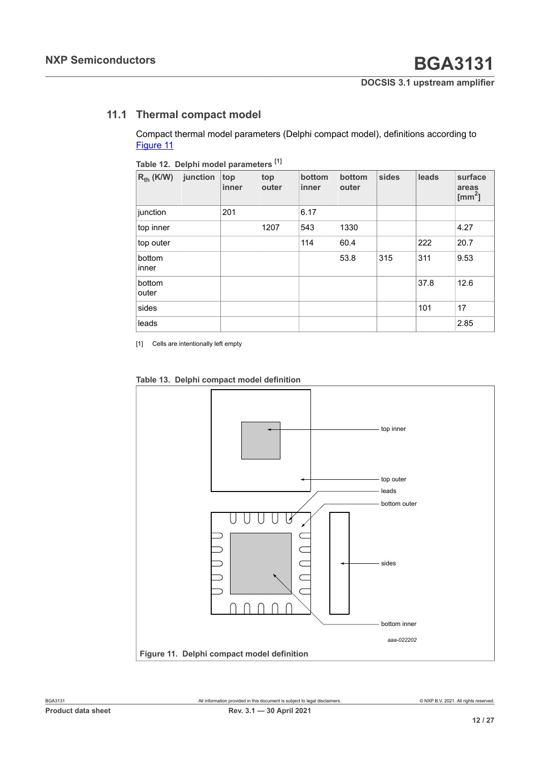# **11.1 Thermal compact model**

<span id="page-11-2"></span><span id="page-11-1"></span>Compact thermal model parameters (Delphi compact model), definitions according to [Figure](#page-11-0) 11

| Table Ta, Delphi model parameters |          |              |              |                 |                 |       |       |                               |
|-----------------------------------|----------|--------------|--------------|-----------------|-----------------|-------|-------|-------------------------------|
| $R_{th}$ (K/W)                    | junction | top<br>inner | top<br>outer | bottom<br>inner | bottom<br>outer | sides | leads | surface<br>areas<br>[ $mm2$ ] |
| junction                          |          | 201          |              | 6.17            |                 |       |       |                               |
| top inner                         |          |              | 1207         | 543             | 1330            |       |       | 4.27                          |
| top outer                         |          |              |              | 114             | 60.4            |       | 222   | 20.7                          |
| bottom<br>inner                   |          |              |              |                 | 53.8            | 315   | 311   | 9.53                          |
| bottom<br>outer                   |          |              |              |                 |                 |       | 37.8  | 12.6                          |
| sides                             |          |              |              |                 |                 |       | 101   | 17                            |
| leads                             |          |              |              |                 |                 |       |       | 2.85                          |
|                                   |          |              |              |                 |                 |       |       |                               |

**Table 12. Delphi model parameters [\[1\]](#page-11-1)**

[1] Cells are intentionally left empty



<span id="page-11-0"></span>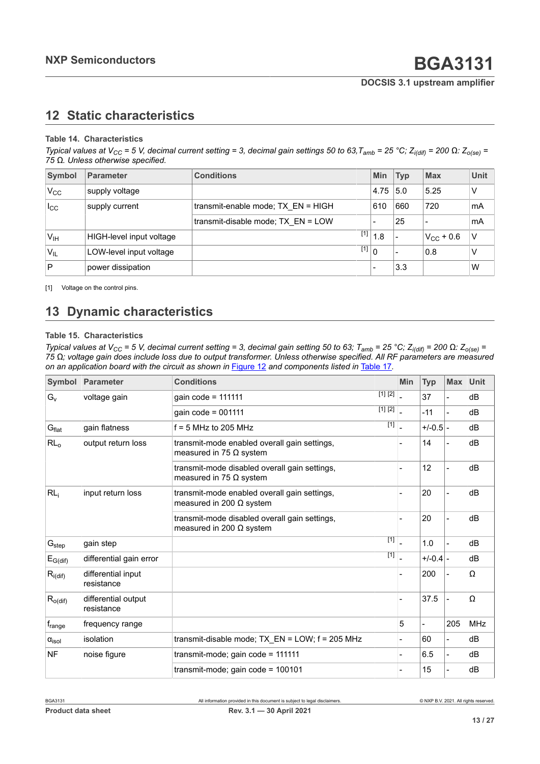# <span id="page-12-1"></span><span id="page-12-0"></span>**12 Static characteristics**

#### **Table 14. Characteristics**

Typical values at V<sub>CC</sub> = 5 V, decimal current setting = 3, decimal gain settings 50 to 63, T<sub>amb</sub> = 25 °C; Z<sub>i(dif)</sub> = 200  $\Omega$ : Z<sub>o(se)</sub> = *75 Ω. Unless otherwise specified.*

| Symbol                | <b>Parameter</b>         | <b>Conditions</b>                  | <b>Min</b> | <b>Typ</b> | <b>Max</b>     | <b>Unit</b> |
|-----------------------|--------------------------|------------------------------------|------------|------------|----------------|-------------|
| $V_{CC}$              | supply voltage           |                                    | 4.75       | 5.0        | 5.25           | V           |
| $I_{\rm CC}$          | supply current           | transmit-enable mode; TX EN = HIGH | 610        | 660        | 720            | mA          |
|                       |                          | transmit-disable mode; TX EN = LOW |            | 25         |                | mA          |
| V <sub>IH</sub>       | HIGH-level input voltage | $[1]$                              | 1.8        |            | $V_{CC}$ + 0.6 | $\vee$      |
| <b>V<sub>IL</sub></b> | LOW-level input voltage  | $\overline{[1]}$ 0                 |            |            | 0.8            | V           |
| $\mathsf P$           | power dissipation        |                                    |            | 3.3        |                | W           |

[1] Voltage on the control pins.

# <span id="page-12-2"></span>**13 Dynamic characteristics**

#### **Table 15. Characteristics**

Typical values at V<sub>CC</sub> = 5 V, decimal current setting = 3, decimal gain setting 50 to 63; T<sub>amb</sub> = 25 °C; Z<sub>i(dif)</sub> = 200  $\Omega$ : Z<sub>o(se)</sub> = 75 Ω; voltage gain does include loss due to output transformer. Unless otherwise specified. All RF parameters are measured *on an application board with the circuit as shown in* [Figure 12](#page-14-0) *and components listed in* [Table](#page-15-0) 17*.*

| Symbol              | <b>Parameter</b>                  | <b>Conditions</b>                                                                | <b>Min</b>     | <b>Typ</b> | <b>Max</b>               | <b>Unit</b> |
|---------------------|-----------------------------------|----------------------------------------------------------------------------------|----------------|------------|--------------------------|-------------|
| $G_v$               | voltage gain                      | [1] [2]<br>gain code = 111111                                                    |                | 37         |                          | dB          |
|                     |                                   | [1] [2]<br>gain $code = 001111$                                                  | $\overline{a}$ | $-11$      | $\blacksquare$           | dB          |
| $G_{\text{flat}}$   | gain flatness                     | $\boxed{1}$<br>$f = 5$ MHz to 205 MHz                                            | $\overline{a}$ | $+/-0.5$ - |                          | dB          |
| $RL_0$              | output return loss                | transmit-mode enabled overall gain settings,<br>measured in 75 $\Omega$ system   |                | 14         |                          | dB          |
|                     |                                   | transmit-mode disabled overall gain settings,<br>measured in 75 $\Omega$ system  |                | 12         |                          | dB          |
| RL <sub>i</sub>     | input return loss                 | transmit-mode enabled overall gain settings,<br>measured in 200 $\Omega$ system  |                | 20         |                          | dB          |
|                     |                                   | transmit-mode disabled overall gain settings,<br>measured in 200 $\Omega$ system |                | 20         |                          | dB          |
| G <sub>step</sub>   | gain step                         | $[1]$                                                                            |                | 1.0        |                          | dB          |
| $E_{G(di)}$         | differential gain error           | $[1]$                                                                            | $\overline{a}$ | $+/-0.4$   |                          | dB          |
| $R_{i(di)}$         | differential input<br>resistance  |                                                                                  |                | 200        |                          | Ω           |
| $R_{o$ (dif)        | differential output<br>resistance |                                                                                  |                | 37.5       |                          | Ω           |
| $f_{range}$         | frequency range                   |                                                                                  | 5              |            | 205                      | <b>MHz</b>  |
| $\alpha_{\rm isol}$ | isolation                         | transmit-disable mode; $TX EN = LOW$ ; $f = 205 MHz$                             |                | 60         | $\blacksquare$           | dB          |
| <b>NF</b>           | noise figure                      | transmit-mode; gain code = 111111                                                |                | 6.5        | $\overline{\phantom{0}}$ | dB          |
|                     |                                   | transmit-mode; gain code = 100101                                                |                | 15         |                          | dB          |

**13 / 27**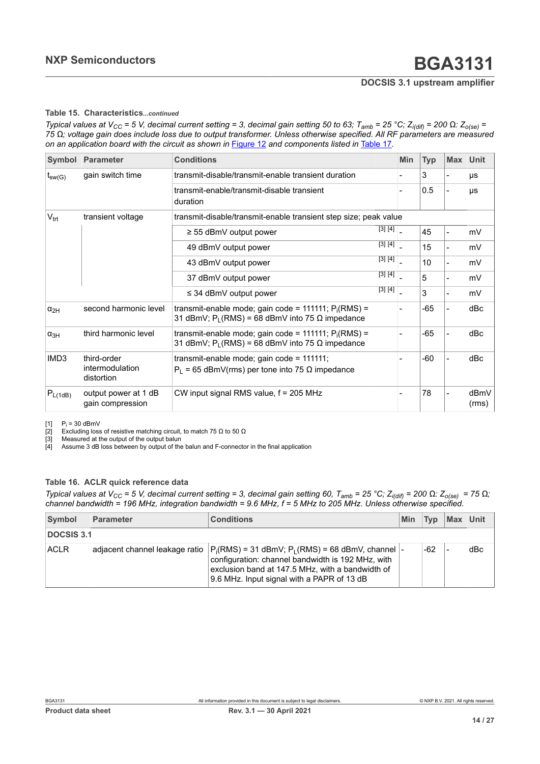#### <span id="page-13-0"></span>**Table 15. Characteristics***...continued*

<span id="page-13-3"></span><span id="page-13-2"></span><span id="page-13-1"></span>Typical values at V<sub>CC</sub> = 5 V, decimal current setting = 3, decimal gain setting 50 to 63; T<sub>amb</sub> = 25 °C; Z<sub>i(dif)</sub> = 200  $\Omega$ : Z<sub>o(se)</sub> =  $75 \Omega$ ; voltage gain does include loss due to output transformer. Unless otherwise specified. All RF parameters are measured *on an application board with the circuit as shown in* [Figure 12](#page-14-0) *and components listed in* [Table](#page-15-0) 17*.*

| <b>Symbol</b>                   | <b>Parameter</b>                             | <b>Conditions</b>                                                                                                   |                                                                   | <b>Min</b> | <b>Typ</b> | <b>Max</b> | Unit          |
|---------------------------------|----------------------------------------------|---------------------------------------------------------------------------------------------------------------------|-------------------------------------------------------------------|------------|------------|------------|---------------|
| gain switch time<br>$t_{sw(G)}$ |                                              | transmit-disable/transmit-enable transient duration                                                                 |                                                                   |            | 3          |            | $\mu s$       |
|                                 |                                              | transmit-enable/transmit-disable transient<br>duration                                                              |                                                                   |            | 0.5        |            | μs            |
| $V_{\text{trt}}$                | transient voltage                            | transmit-disable/transmit-enable transient step size; peak value                                                    |                                                                   |            |            |            |               |
|                                 |                                              | $\geq$ 55 dBmV output power                                                                                         | $\overline{[3]\ [4]\ ]}$                                          |            | 45         |            | mV            |
|                                 |                                              | 49 dBmV output power                                                                                                | $\begin{bmatrix} 3 \end{bmatrix} \begin{bmatrix} 4 \end{bmatrix}$ |            | 15         |            | mV            |
|                                 |                                              | 43 dBmV output power                                                                                                | $\begin{bmatrix} 3 \end{bmatrix} \begin{bmatrix} 4 \end{bmatrix}$ |            | 10         |            | mV            |
|                                 |                                              | 37 dBmV output power                                                                                                | $[3] [4]$                                                         |            | 5          |            | mV            |
|                                 |                                              | $\leq$ 34 dBmV output power                                                                                         | $\begin{bmatrix} 3 \end{bmatrix} \begin{bmatrix} 4 \end{bmatrix}$ |            | 3          |            | mV            |
| $\alpha_{2H}$                   | second harmonic level                        | transmit-enable mode; gain code = 111111; $P_i(RMS)$ =<br>31 dBmV; $P_L(RMS) = 68$ dBmV into 75 $\Omega$ impedance  |                                                                   |            | $-65$      |            | dBc           |
| $\alpha_{3H}$                   | third harmonic level                         | transmit-enable mode; gain code = 111111; $P_i(RMS)$ =<br>31 dBmV; $P_1$ (RMS) = 68 dBmV into 75 $\Omega$ impedance |                                                                   |            | $-65$      |            | dBc           |
| IMD3                            | third-order<br>intermodulation<br>distortion | transmit-enable mode; gain code = 111111;<br>$P_L$ = 65 dBmV(rms) per tone into 75 $\Omega$ impedance               |                                                                   |            | $-60$      |            | dBc           |
| $P_{L(1dB)}$                    | output power at 1 dB<br>gain compression     | CW input signal RMS value, f = 205 MHz                                                                              |                                                                   |            | 78         |            | dBmV<br>(rms) |

[1]  $P_i = 30$  dBmV

 $\left[2\right]$  Excluding loss of resistive matching circuit, to match 75 Ω to 50 Ω

[3] Measured at the output of the output balun

[4] Assume 3 dB loss between by output of the balun and F-connector in the final application

#### **Table 16. ACLR quick reference data**

Typical values at V<sub>CC</sub> = 5 V, decimal current setting = 3, decimal gain setting 60, T<sub>amb</sub> = 25 °C; Z<sub>i(dif)</sub> = 200  $\Omega$ : Z<sub>o(se)</sub> = 75  $\Omega$ ; *channel bandwidth = 196 MHz, integration bandwidth = 9.6 MHz, f = 5 MHz to 205 MHz. Unless otherwise specified.*

| Symbol      | Parameter | <b>Conditions</b><br>Min                                                                                                                                                                                                                             |  | Tvp   | Max Unit |     |
|-------------|-----------|------------------------------------------------------------------------------------------------------------------------------------------------------------------------------------------------------------------------------------------------------|--|-------|----------|-----|
| DOCSIS 3.1  |           |                                                                                                                                                                                                                                                      |  |       |          |     |
| <b>ACLR</b> |           | adjacent channel leakage ratio $ P_i(RMS) = 31$ dBmV; $P_L(RMS) = 68$ dBmV, channel $ \cdot $<br>configuration: channel bandwidth is 192 MHz, with<br>exclusion band at 147.5 MHz, with a bandwidth of<br>9.6 MHz. Input signal with a PAPR of 13 dB |  | $-62$ |          | dBc |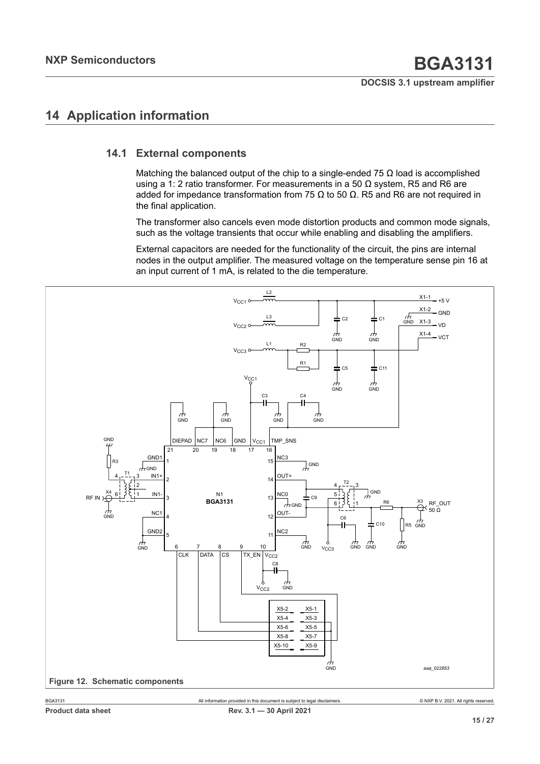# <span id="page-14-1"></span>**14 Application information**

## **14.1 External components**

<span id="page-14-2"></span>Matching the balanced output of the chip to a single-ended 75  $\Omega$  load is accomplished using a 1: 2 ratio transformer. For measurements in a 50  $Ω$  system, R5 and R6 are added for impedance transformation from 75 Ω to 50  $\Omega$ . R5 and R6 are not required in the final application.

The transformer also cancels even mode distortion products and common mode signals, such as the voltage transients that occur while enabling and disabling the amplifiers.

External capacitors are needed for the functionality of the circuit, the pins are internal nodes in the output amplifier. The measured voltage on the temperature sense pin 16 at an input current of 1 mA, is related to the die temperature.

<span id="page-14-0"></span>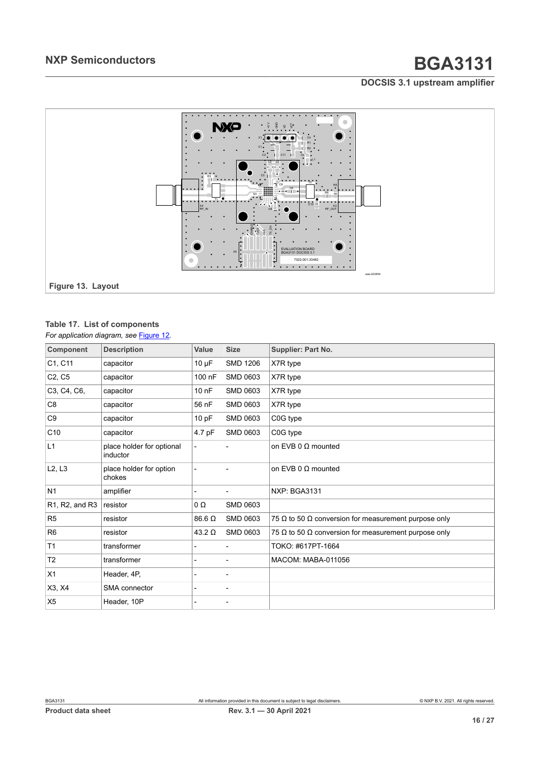<span id="page-15-1"></span>

# <span id="page-15-0"></span>**Table 17. List of components**

*For application diagram, see* [Figure 12](#page-14-0)*.*

| Component                                            | <b>Description</b>                    | Value         | <b>Size</b>              | <b>Supplier: Part No.</b>                            |
|------------------------------------------------------|---------------------------------------|---------------|--------------------------|------------------------------------------------------|
| C1, C11                                              | capacitor                             | $10 \mu F$    | <b>SMD 1206</b>          | X7R type                                             |
| C <sub>2</sub> , C <sub>5</sub>                      | capacitor                             | 100 nF        | <b>SMD 0603</b>          | X7R type                                             |
| C3, C4, C6,                                          | capacitor                             | $100$ nF      | <b>SMD 0603</b>          | X7R type                                             |
| C8                                                   | capacitor                             | 56 nF         | <b>SMD 0603</b>          | X7R type                                             |
| C <sub>9</sub>                                       | capacitor                             | 10 pF         | <b>SMD 0603</b>          | C0G type                                             |
| C <sub>10</sub>                                      | capacitor                             | 4.7 pF        | <b>SMD 0603</b>          | C0G type                                             |
| L1                                                   | place holder for optional<br>inductor |               |                          | on EVB 0 $\Omega$ mounted                            |
| L2, L3                                               | place holder for option<br>chokes     |               |                          | on EVB 0 $\Omega$ mounted                            |
| N <sub>1</sub>                                       | amplifier                             |               | $\overline{a}$           | <b>NXP: BGA3131</b>                                  |
| R <sub>1</sub> , R <sub>2</sub> , and R <sub>3</sub> | resistor                              | 0Ω            | <b>SMD 0603</b>          |                                                      |
| R <sub>5</sub>                                       | resistor                              | 86.6 Ω        | <b>SMD 0603</b>          | 75 Ω to 50 Ω conversion for measurement purpose only |
| R <sub>6</sub>                                       | resistor                              | $43.2 \Omega$ | <b>SMD 0603</b>          | 75 Ω to 50 Ω conversion for measurement purpose only |
| T <sub>1</sub>                                       | transformer                           |               |                          | TOKO: #617PT-1664                                    |
| T <sub>2</sub>                                       | transformer                           |               | -                        | MACOM: MABA-011056                                   |
| X1                                                   | Header, 4P,                           |               | $\overline{\phantom{0}}$ |                                                      |
| X3, X4                                               | SMA connector                         |               | $\blacksquare$           |                                                      |
| X <sub>5</sub>                                       | Header, 10P                           |               | $\overline{\phantom{0}}$ |                                                      |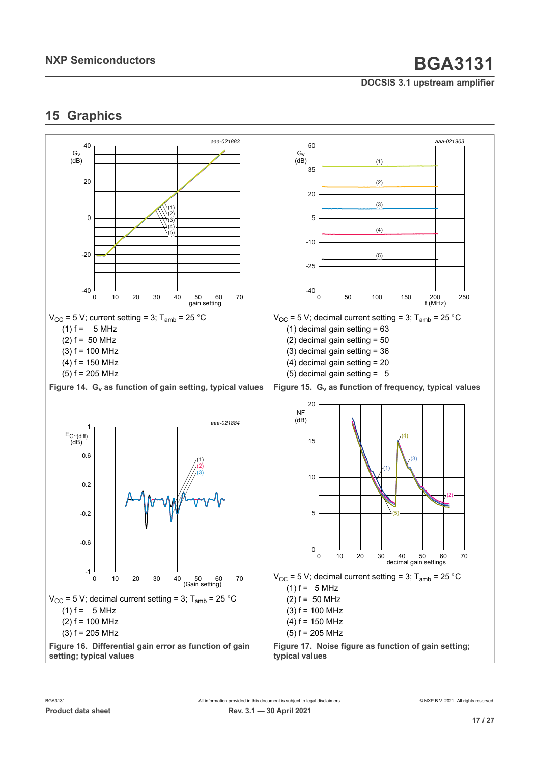# <span id="page-16-0"></span>**15 Graphics**

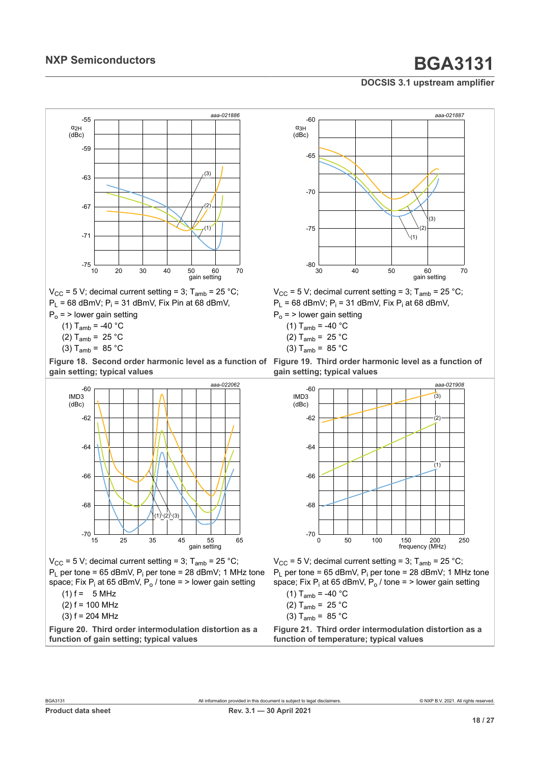

 $V_{CC}$  = 5 V; decimal current setting = 3; T<sub>amb</sub> = 25 °C;  $P_L$  = 68 dBmV;  $P_i$  = 31 dBmV, Fix Pin at 68 dBmV,

 $P_0$  = > lower gain setting

(1)  $T_{amb} = -40 °C$ 

- (2)  $T_{amb} = 25 °C$
- (3)  $T_{amb} = 85 °C$

**Figure 18. Second order harmonic level as a function of gain setting; typical values**



 $V_{\text{CC}}$  = 5 V; decimal current setting = 3;  $T_{\text{amb}}$  = 25 °C;  ${\sf P}_{\sf L}$  per tone = 65 dBmV,  ${\sf P}_{\sf i}$  per tone = 28 dBmV; 1 MHz tone space; Fix P<sub>i</sub> at 65 dBmV, P<sub>o</sub> / tone = > lower gain setting

- $(1) f = 5 MHz$
- $(2) f = 100 MHz$
- $(3)$  f = 204 MHz

**Figure 20. Third order intermodulation distortion as a function of gain setting; typical values**



 $V_{CC}$  = 5 V; decimal current setting = 3; T<sub>amb</sub> = 25 °C;  $P_L$  = 68 dBmV;  $P_i$  = 31 dBmV, Fix  $P_i$  at 68 dBmV,  $P_0$  = > lower gain setting

- (1)  $T_{amb} = -40 °C$
- 
- (2)  $T_{amb} = 25 °C$
- (3)  $T_{amb} = 85 °C$

**Figure 19. Third order harmonic level as a function of gain setting; typical values**



 $V_{CC}$  = 5 V; decimal current setting = 3;  $T_{amb}$  = 25 °C;  $P_L$  per tone = 65 dBmV,  $P_i$  per tone = 28 dBmV; 1 MHz tone space; Fix P<sub>i</sub> at 65 dBmV, P<sub>o</sub> / tone = > lower gain setting

(1)  $T_{amb}$  = -40  $^{\circ}$ C (2)  $T_{amb} = 25 °C$ (3)  $T_{amb} = 85 °C$ 

**Figure 21. Third order intermodulation distortion as a function of temperature; typical values**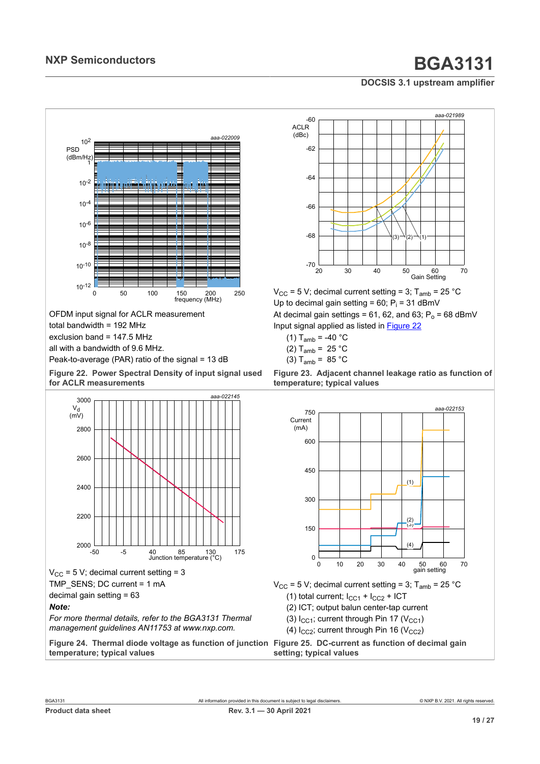<span id="page-18-0"></span>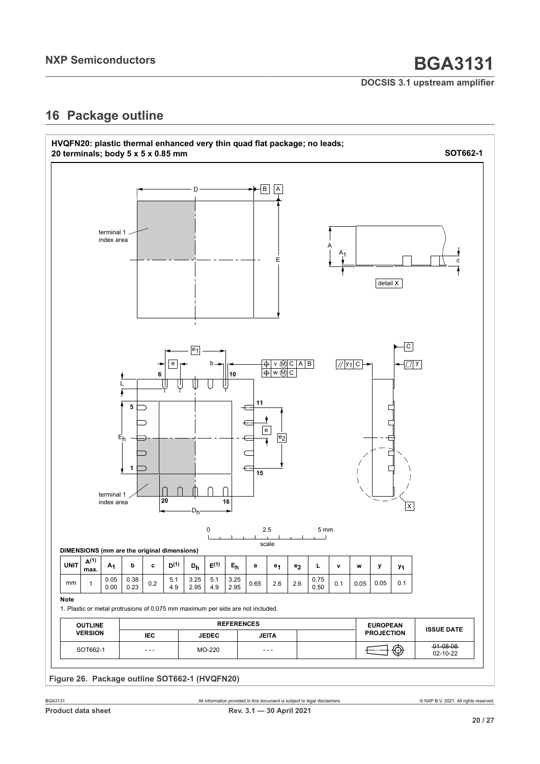# <span id="page-19-0"></span>**16 Package outline**

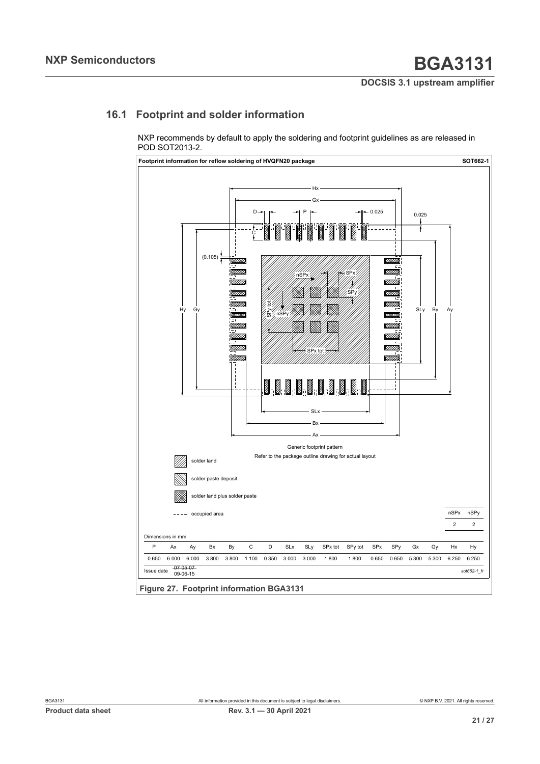# **16.1 Footprint and solder information**

<span id="page-20-0"></span>NXP recommends by default to apply the soldering and footprint guidelines as are released in POD SOT2013-2.

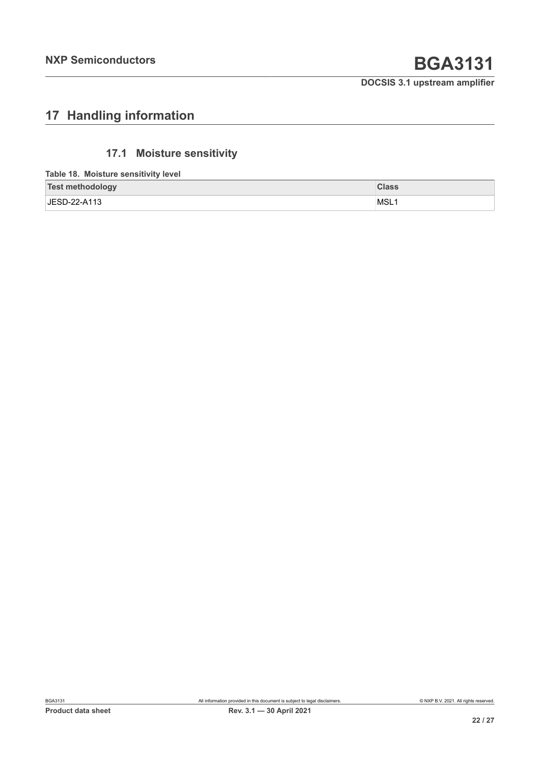# <span id="page-21-0"></span>**17 Handling information**

# <span id="page-21-1"></span>**17.1 Moisture sensitivity**

**Table 18. Moisture sensitivity level**

| <b>Test methodology</b> | <b>Class</b> |
|-------------------------|--------------|
| JESD-22-A113            | ⊺MSL         |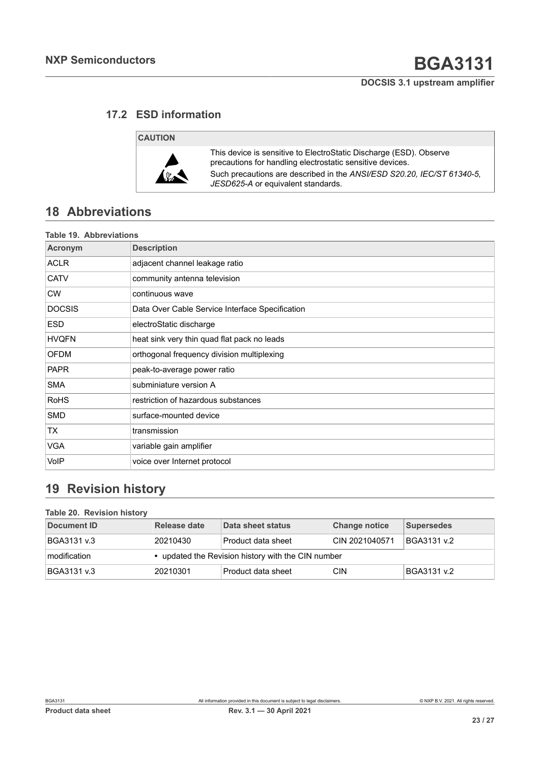## **17.2 ESD information**

## <span id="page-22-0"></span>**CAUTION**



This device is sensitive to ElectroStatic Discharge (ESD). Observe precautions for handling electrostatic sensitive devices. Such precautions are described in the *ANSI/ESD S20.20, IEC/ST 61340-5, JESD625-A* or equivalent standards.

# <span id="page-22-1"></span>**18 Abbreviations**

|                | <b>Table 19. Abbreviations</b>                  |  |  |  |  |
|----------------|-------------------------------------------------|--|--|--|--|
| <b>Acronym</b> | <b>Description</b>                              |  |  |  |  |
| ACLR           | adjacent channel leakage ratio                  |  |  |  |  |
| <b>CATV</b>    | community antenna television                    |  |  |  |  |
| <b>CW</b>      | continuous wave                                 |  |  |  |  |
| <b>DOCSIS</b>  | Data Over Cable Service Interface Specification |  |  |  |  |
| <b>ESD</b>     | electroStatic discharge                         |  |  |  |  |
| <b>HVQFN</b>   | heat sink very thin quad flat pack no leads     |  |  |  |  |
| <b>OFDM</b>    | orthogonal frequency division multiplexing      |  |  |  |  |
| <b>PAPR</b>    | peak-to-average power ratio                     |  |  |  |  |
| <b>SMA</b>     | subminiature version A                          |  |  |  |  |
| <b>RoHS</b>    | restriction of hazardous substances             |  |  |  |  |
| <b>SMD</b>     | surface-mounted device                          |  |  |  |  |
| ТX             | transmission                                    |  |  |  |  |
| <b>VGA</b>     | variable gain amplifier                         |  |  |  |  |
| VoIP           | voice over Internet protocol                    |  |  |  |  |

# <span id="page-22-2"></span>**19 Revision history**

### **Table 20. Revision history**

| Document ID      | Release date                                       | Data sheet status  | <b>Change notice</b> | Supersedes  |  |
|------------------|----------------------------------------------------|--------------------|----------------------|-------------|--|
| BGA3131 v.3      | 20210430                                           | Product data sheet | CIN 2021040571       | BGA3131 v.2 |  |
| $ $ modification | • updated the Revision history with the CIN number |                    |                      |             |  |
| BGA3131 v.3      | 20210301                                           | Product data sheet | <b>CIN</b>           | BGA3131 v.2 |  |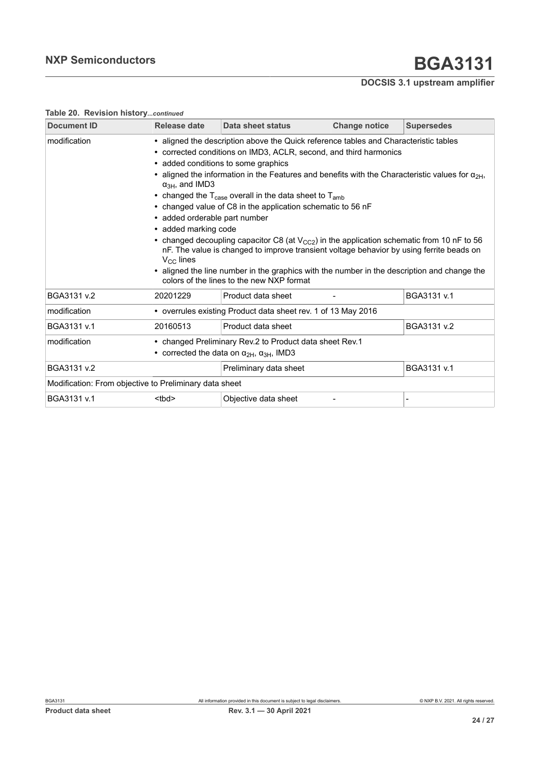| Release date                                                                                                                                                                                                                                                                                                                                                                                                                                                                                                                                                                                                                                                                                                                                                                                                                              | Data sheet status    | <b>Change notice</b>                                   | <b>Supersedes</b>                                                                                                                                     |  |  |
|-------------------------------------------------------------------------------------------------------------------------------------------------------------------------------------------------------------------------------------------------------------------------------------------------------------------------------------------------------------------------------------------------------------------------------------------------------------------------------------------------------------------------------------------------------------------------------------------------------------------------------------------------------------------------------------------------------------------------------------------------------------------------------------------------------------------------------------------|----------------------|--------------------------------------------------------|-------------------------------------------------------------------------------------------------------------------------------------------------------|--|--|
| • corrected conditions on IMD3, ACLR, second, and third harmonics<br>• added conditions to some graphics<br>• aligned the information in the Features and benefits with the Characteristic values for $\alpha_{2H}$ ,<br>$\alpha_{3H}$ , and IMD3<br>• changed the $T_{\text{case}}$ overall in the data sheet to $T_{\text{amb}}$<br>• changed value of C8 in the application schematic to 56 nF<br>• added orderable part number<br>• added marking code<br>• changed decoupling capacitor C8 (at $V_{CC2}$ ) in the application schematic from 10 nF to 56<br>nF. The value is changed to improve transient voltage behavior by using ferrite beads on<br>$V_{\text{CC}}$ lines<br>aligned the line number in the graphics with the number in the description and change the<br>$\bullet$<br>colors of the lines to the new NXP format |                      |                                                        |                                                                                                                                                       |  |  |
| 20201229                                                                                                                                                                                                                                                                                                                                                                                                                                                                                                                                                                                                                                                                                                                                                                                                                                  | Product data sheet   |                                                        | BGA3131 v.1                                                                                                                                           |  |  |
|                                                                                                                                                                                                                                                                                                                                                                                                                                                                                                                                                                                                                                                                                                                                                                                                                                           |                      |                                                        |                                                                                                                                                       |  |  |
| 20160513                                                                                                                                                                                                                                                                                                                                                                                                                                                                                                                                                                                                                                                                                                                                                                                                                                  | Product data sheet   |                                                        | BGA3131 v.2                                                                                                                                           |  |  |
| • changed Preliminary Rev.2 to Product data sheet Rev.1<br>• corrected the data on $\alpha_{2H}$ , $\alpha_{3H}$ , IMD3                                                                                                                                                                                                                                                                                                                                                                                                                                                                                                                                                                                                                                                                                                                   |                      |                                                        |                                                                                                                                                       |  |  |
| BGA3131 v.1<br>Preliminary data sheet                                                                                                                                                                                                                                                                                                                                                                                                                                                                                                                                                                                                                                                                                                                                                                                                     |                      |                                                        |                                                                                                                                                       |  |  |
|                                                                                                                                                                                                                                                                                                                                                                                                                                                                                                                                                                                                                                                                                                                                                                                                                                           |                      |                                                        |                                                                                                                                                       |  |  |
| <tbd></tbd>                                                                                                                                                                                                                                                                                                                                                                                                                                                                                                                                                                                                                                                                                                                                                                                                                               | Objective data sheet |                                                        | $\blacksquare$                                                                                                                                        |  |  |
|                                                                                                                                                                                                                                                                                                                                                                                                                                                                                                                                                                                                                                                                                                                                                                                                                                           |                      | Modification: From objective to Preliminary data sheet | • aligned the description above the Quick reference tables and Characteristic tables<br>• overrules existing Product data sheet rev. 1 of 13 May 2016 |  |  |

### **Table 20. Revision history***...continued*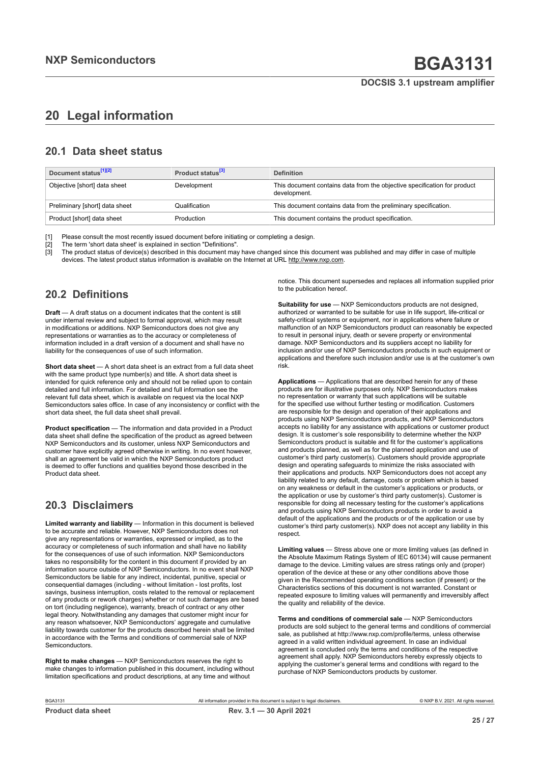# <span id="page-24-0"></span>**20 Legal information**

## **20.1 Data sheet status**

| Document status <sup>[1][2]</sup> | Product status <sup>[3]</sup> | <b>Definition</b>                                                                        |
|-----------------------------------|-------------------------------|------------------------------------------------------------------------------------------|
| Objective [short] data sheet      | Development                   | This document contains data from the objective specification for product<br>development. |
| Preliminary [short] data sheet    | Qualification                 | This document contains data from the preliminary specification.                          |
| Product [short] data sheet        | Production                    | This document contains the product specification.                                        |

[1] Please consult the most recently issued document before initiating or completing a design.<br>[2] The term 'short data sheet' is explained in section "Definitions".

t :<br>[2] The term 'short data sheet' is explained in section "Definitions".<br>[3] The product status of device(s) described in this document may

The product status of device(s) described in this document may have changed since this document was published and may differ in case of multiple devices. The latest product status information is available on the Internet at URL http://www.nxp.com.

## **20.2 Definitions**

**Draft** — A draft status on a document indicates that the content is still under internal review and subject to formal approval, which may result in modifications or additions. NXP Semiconductors does not give any representations or warranties as to the accuracy or completeness of information included in a draft version of a document and shall have no liability for the consequences of use of such information.

**Short data sheet** — A short data sheet is an extract from a full data sheet with the same product type number(s) and title. A short data sheet is intended for quick reference only and should not be relied upon to contain detailed and full information. For detailed and full information see the relevant full data sheet, which is available on request via the local NXP Semiconductors sales office. In case of any inconsistency or conflict with the short data sheet, the full data sheet shall prevail.

**Product specification** — The information and data provided in a Product data sheet shall define the specification of the product as agreed between NXP Semiconductors and its customer, unless NXP Semiconductors and customer have explicitly agreed otherwise in writing. In no event however, shall an agreement be valid in which the NXP Semiconductors product is deemed to offer functions and qualities beyond those described in the Product data sheet.

## **20.3 Disclaimers**

**Limited warranty and liability** — Information in this document is believed to be accurate and reliable. However, NXP Semiconductors does not give any representations or warranties, expressed or implied, as to the accuracy or completeness of such information and shall have no liability for the consequences of use of such information. NXP Semiconductors takes no responsibility for the content in this document if provided by an information source outside of NXP Semiconductors. In no event shall NXP Semiconductors be liable for any indirect, incidental, punitive, special or consequential damages (including - without limitation - lost profits, lost savings, business interruption, costs related to the removal or replacement of any products or rework charges) whether or not such damages are based on tort (including negligence), warranty, breach of contract or any other legal theory. Notwithstanding any damages that customer might incur for any reason whatsoever, NXP Semiconductors' aggregate and cumulative liability towards customer for the products described herein shall be limited in accordance with the Terms and conditions of commercial sale of NXP **Semiconductors** 

**Right to make changes** — NXP Semiconductors reserves the right to make changes to information published in this document, including without limitation specifications and product descriptions, at any time and without

notice. This document supersedes and replaces all information supplied prior to the publication hereof.

**Suitability for use** — NXP Semiconductors products are not designed, authorized or warranted to be suitable for use in life support, life-critical or safety-critical systems or equipment, nor in applications where failure or malfunction of an NXP Semiconductors product can reasonably be expected to result in personal injury, death or severe property or environmental damage. NXP Semiconductors and its suppliers accept no liability for inclusion and/or use of NXP Semiconductors products in such equipment or applications and therefore such inclusion and/or use is at the customer's own risk.

**Applications** — Applications that are described herein for any of these products are for illustrative purposes only. NXP Semiconductors makes no representation or warranty that such applications will be suitable for the specified use without further testing or modification. Customers are responsible for the design and operation of their applications and products using NXP Semiconductors products, and NXP Semiconductors accepts no liability for any assistance with applications or customer product design. It is customer's sole responsibility to determine whether the NXP Semiconductors product is suitable and fit for the customer's applications and products planned, as well as for the planned application and use of customer's third party customer(s). Customers should provide appropriate design and operating safeguards to minimize the risks associated with their applications and products. NXP Semiconductors does not accept any liability related to any default, damage, costs or problem which is based on any weakness or default in the customer's applications or products, or the application or use by customer's third party customer(s). Customer is responsible for doing all necessary testing for the customer's applications and products using NXP Semiconductors products in order to avoid a default of the applications and the products or of the application or use by customer's third party customer(s). NXP does not accept any liability in this respect.

**Limiting values** — Stress above one or more limiting values (as defined in the Absolute Maximum Ratings System of IEC 60134) will cause permanent damage to the device. Limiting values are stress ratings only and (proper) operation of the device at these or any other conditions above those given in the Recommended operating conditions section (if present) or the Characteristics sections of this document is not warranted. Constant or repeated exposure to limiting values will permanently and irreversibly affect the quality and reliability of the device.

**Terms and conditions of commercial sale** — NXP Semiconductors products are sold subject to the general terms and conditions of commercial sale, as published at http://www.nxp.com/profile/terms, unless otherwise agreed in a valid written individual agreement. In case an individual agreement is concluded only the terms and conditions of the respective agreement shall apply. NXP Semiconductors hereby expressly objects to applying the customer's general terms and conditions with regard to the purchase of NXP Semiconductors products by customer.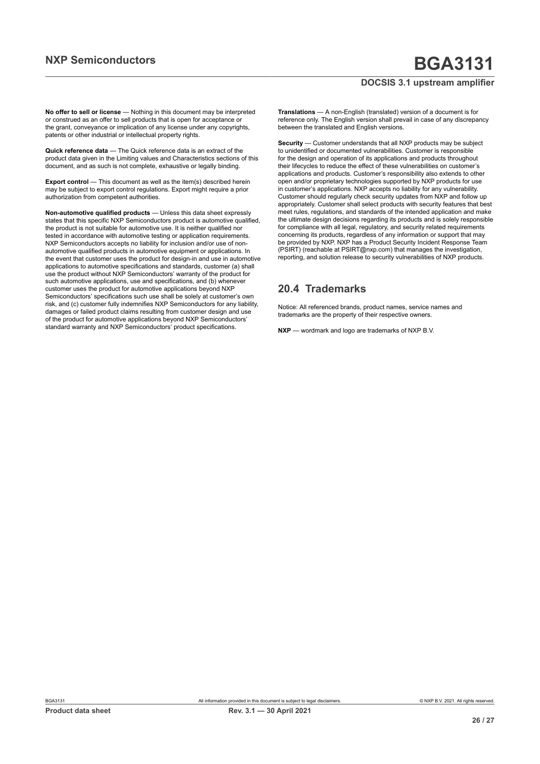**No offer to sell or license** — Nothing in this document may be interpreted or construed as an offer to sell products that is open for acceptance or the grant, conveyance or implication of any license under any copyrights, patents or other industrial or intellectual property rights.

**Quick reference data** — The Quick reference data is an extract of the product data given in the Limiting values and Characteristics sections of this document, and as such is not complete, exhaustive or legally binding.

**Export control** — This document as well as the item(s) described herein may be subject to export control regulations. Export might require a prior authorization from competent authorities.

**Non-automotive qualified products** — Unless this data sheet expressly states that this specific NXP Semiconductors product is automotive qualified, the product is not suitable for automotive use. It is neither qualified nor tested in accordance with automotive testing or application requirements. NXP Semiconductors accepts no liability for inclusion and/or use of nonautomotive qualified products in automotive equipment or applications. In the event that customer uses the product for design-in and use in automotive applications to automotive specifications and standards, customer (a) shall use the product without NXP Semiconductors' warranty of the product for such automotive applications, use and specifications, and (b) whenever customer uses the product for automotive applications beyond NXP Semiconductors' specifications such use shall be solely at customer's own risk, and (c) customer fully indemnifies NXP Semiconductors for any liability, damages or failed product claims resulting from customer design and use of the product for automotive applications beyond NXP Semiconductors' standard warranty and NXP Semiconductors' product specifications.

**Translations** — A non-English (translated) version of a document is for reference only. The English version shall prevail in case of any discrepancy between the translated and English versions.

**Security** — Customer understands that all NXP products may be subject to unidentified or documented vulnerabilities. Customer is responsible for the design and operation of its applications and products throughout their lifecycles to reduce the effect of these vulnerabilities on customer's applications and products. Customer's responsibility also extends to other open and/or proprietary technologies supported by NXP products for use in customer's applications. NXP accepts no liability for any vulnerability. Customer should regularly check security updates from NXP and follow up appropriately. Customer shall select products with security features that best meet rules, regulations, and standards of the intended application and make the ultimate design decisions regarding its products and is solely responsible for compliance with all legal, regulatory, and security related requirements concerning its products, regardless of any information or support that may be provided by NXP. NXP has a Product Security Incident Response Team (PSIRT) (reachable at PSIRT@nxp.com) that manages the investigation, reporting, and solution release to security vulnerabilities of NXP products.

## **20.4 Trademarks**

Notice: All referenced brands, product names, service names and trademarks are the property of their respective owners.

**NXP** — wordmark and logo are trademarks of NXP B.V.